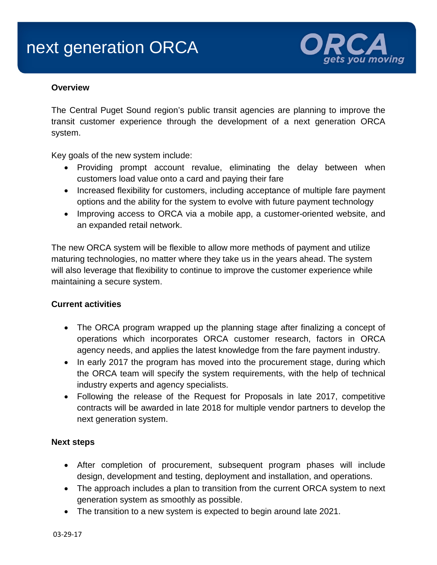# next generation ORCA



#### **Overview**

The Central Puget Sound region's public transit agencies are planning to improve the transit customer experience through the development of a next generation ORCA system.

Key goals of the new system include:

- Providing prompt account revalue, eliminating the delay between when customers load value onto a card and paying their fare
- Increased flexibility for customers, including acceptance of multiple fare payment options and the ability for the system to evolve with future payment technology
- Improving access to ORCA via a mobile app, a customer-oriented website, and an expanded retail network.

The new ORCA system will be flexible to allow more methods of payment and utilize maturing technologies, no matter where they take us in the years ahead. The system will also leverage that flexibility to continue to improve the customer experience while maintaining a secure system.

## **Current activities**

- The ORCA program wrapped up the planning stage after finalizing a concept of operations which incorporates ORCA customer research, factors in ORCA agency needs, and applies the latest knowledge from the fare payment industry.
- In early 2017 the program has moved into the procurement stage, during which the ORCA team will specify the system requirements, with the help of technical industry experts and agency specialists.
- Following the release of the Request for Proposals in late 2017, competitive contracts will be awarded in late 2018 for multiple vendor partners to develop the next generation system.

#### **Next steps**

- After completion of procurement, subsequent program phases will include design, development and testing, deployment and installation, and operations.
- The approach includes a plan to transition from the current ORCA system to next generation system as smoothly as possible.
- The transition to a new system is expected to begin around late 2021.